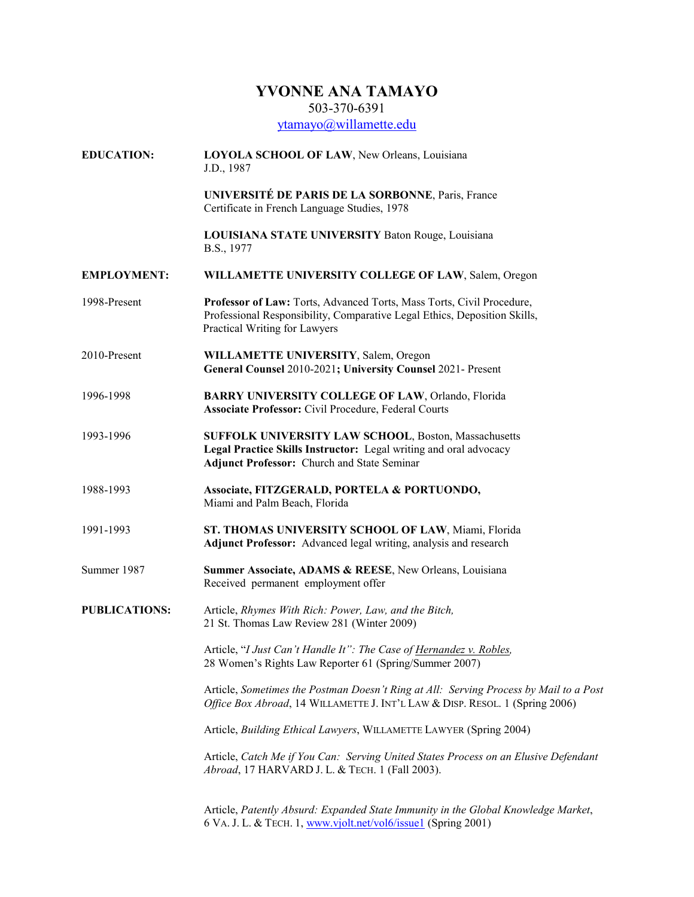## **YVONNE ANA TAMAYO**

503-370-6391

ytamayo@willamette.edu

**EDUCATION: LOYOLA SCHOOL OF LAW**, New Orleans, Louisiana J.D., 1987 **UNIVERSITÉ DE PARIS DE LA SORBONNE**, Paris, France Certificate in French Language Studies, 1978 **LOUISIANA STATE UNIVERSITY** Baton Rouge, Louisiana B.S., 1977 **EMPLOYMENT: WILLAMETTE UNIVERSITY COLLEGE OF LAW**, Salem, Oregon 1998-Present **Professor of Law:** Torts, Advanced Torts, Mass Torts, Civil Procedure, Professional Responsibility, Comparative Legal Ethics, Deposition Skills, Practical Writing for Lawyers 2010-Present **WILLAMETTE UNIVERSITY**, Salem, Oregon **General Counsel** 2010-2021**; University Counsel** 2021- Present 1996-1998 **BARRY UNIVERSITY COLLEGE OF LAW**, Orlando, Florida **Associate Professor:** Civil Procedure, Federal Courts 1993-1996 **SUFFOLK UNIVERSITY LAW SCHOOL**, Boston, Massachusetts **Legal Practice Skills Instructor:** Legal writing and oral advocacy **Adjunct Professor:** Church and State Seminar 1988-1993 **Associate, FITZGERALD, PORTELA & PORTUONDO,** Miami and Palm Beach, Florida 1991-1993 **ST. THOMAS UNIVERSITY SCHOOL OF LAW**, Miami, Florida **Adjunct Professor:** Advanced legal writing, analysis and research Summer 1987 **Summer Associate, ADAMS & REESE**, New Orleans, Louisiana Received permanent employment offer **PUBLICATIONS:** Article, *Rhymes With Rich: Power, Law, and the Bitch,* 21 St. Thomas Law Review 281 (Winter 2009) Article, "*I Just Can't Handle It": The Case of Hernandez v. Robles,* 28 Women's Rights Law Reporter 61 (Spring/Summer 2007) Article, *Sometimes the Postman Doesn't Ring at All: Serving Process by Mail to a Post Office Box Abroad*, 14 WILLAMETTE J. INT'L LAW & DISP. RESOL. 1 (Spring 2006) Article, *Building Ethical Lawyers*, WILLAMETTE LAWYER (Spring 2004) Article, *Catch Me if You Can: Serving United States Process on an Elusive Defendant Abroad*, 17 HARVARD J. L. & TECH. 1 (Fall 2003). Article, *Patently Absurd: Expanded State Immunity in the Global Knowledge Market*, 6 VA. J. L. & TECH. 1, www.vjolt.net/vol6/issue1 (Spring 2001)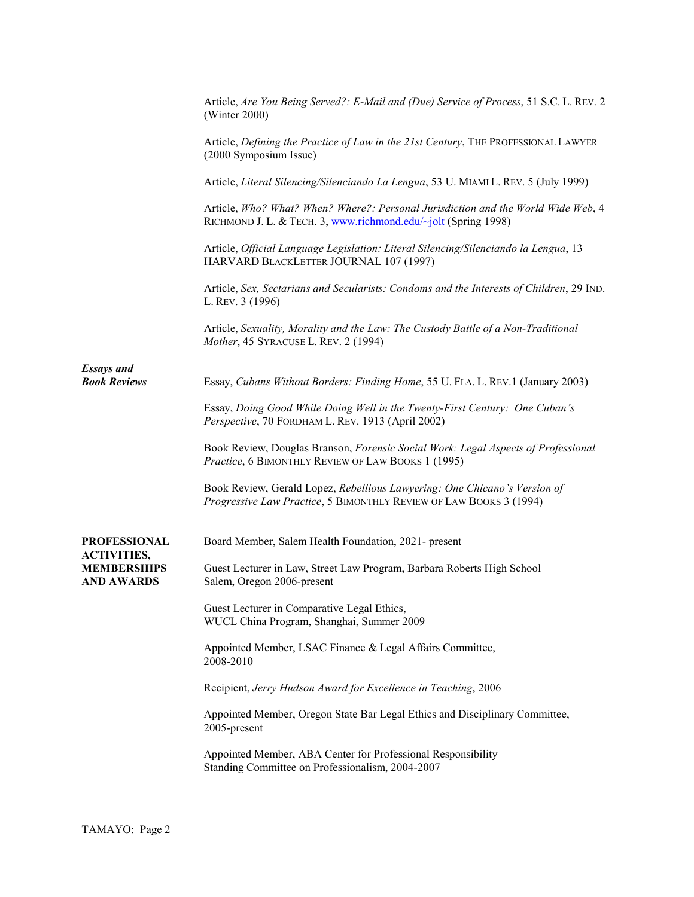|                                           | Article, Are You Being Served?: E-Mail and (Due) Service of Process, 51 S.C. L. REV. 2<br>(Winter $2000$ )                                          |
|-------------------------------------------|-----------------------------------------------------------------------------------------------------------------------------------------------------|
|                                           | Article, Defining the Practice of Law in the 21st Century, THE PROFESSIONAL LAWYER<br>(2000 Symposium Issue)                                        |
|                                           | Article, Literal Silencing/Silenciando La Lengua, 53 U. MIAMI L. REV. 5 (July 1999)                                                                 |
|                                           | Article, Who? What? When? Where?: Personal Jurisdiction and the World Wide Web, 4<br>RICHMOND J. L. & TECH. 3, www.richmond.edu/~jolt (Spring 1998) |
|                                           | Article, Official Language Legislation: Literal Silencing/Silenciando la Lengua, 13<br>HARVARD BLACKLETTER JOURNAL 107 (1997)                       |
|                                           | Article, Sex, Sectarians and Secularists: Condoms and the Interests of Children, 29 IND.<br>L. REV. 3 (1996)                                        |
|                                           | Article, Sexuality, Morality and the Law: The Custody Battle of a Non-Traditional<br>Mother, 45 SYRACUSE L. REV. 2 (1994)                           |
| <b>Essays and</b><br><b>Book Reviews</b>  | Essay, Cubans Without Borders: Finding Home, 55 U. FLA. L. REV.1 (January 2003)                                                                     |
|                                           | Essay, Doing Good While Doing Well in the Twenty-First Century: One Cuban's<br>Perspective, 70 FORDHAM L. REV. 1913 (April 2002)                    |
|                                           | Book Review, Douglas Branson, Forensic Social Work: Legal Aspects of Professional<br>Practice, 6 BIMONTHLY REVIEW OF LAW BOOKS 1 (1995)             |
|                                           | Book Review, Gerald Lopez, Rebellious Lawyering: One Chicano's Version of<br>Progressive Law Practice, 5 BIMONTHLY REVIEW OF LAW BOOKS 3 (1994)     |
| <b>PROFESSIONAL</b><br><b>ACTIVITIES,</b> | Board Member, Salem Health Foundation, 2021- present                                                                                                |
| <b>MEMBERSHIPS</b><br><b>AND AWARDS</b>   | Guest Lecturer in Law, Street Law Program, Barbara Roberts High School<br>Salem, Oregon 2006-present                                                |
|                                           | Guest Lecturer in Comparative Legal Ethics,<br>WUCL China Program, Shanghai, Summer 2009                                                            |
|                                           | Appointed Member, LSAC Finance & Legal Affairs Committee,<br>2008-2010                                                                              |
|                                           | Recipient, Jerry Hudson Award for Excellence in Teaching, 2006                                                                                      |
|                                           | Appointed Member, Oregon State Bar Legal Ethics and Disciplinary Committee,<br>2005-present                                                         |
|                                           | Appointed Member, ABA Center for Professional Responsibility<br>Standing Committee on Professionalism, 2004-2007                                    |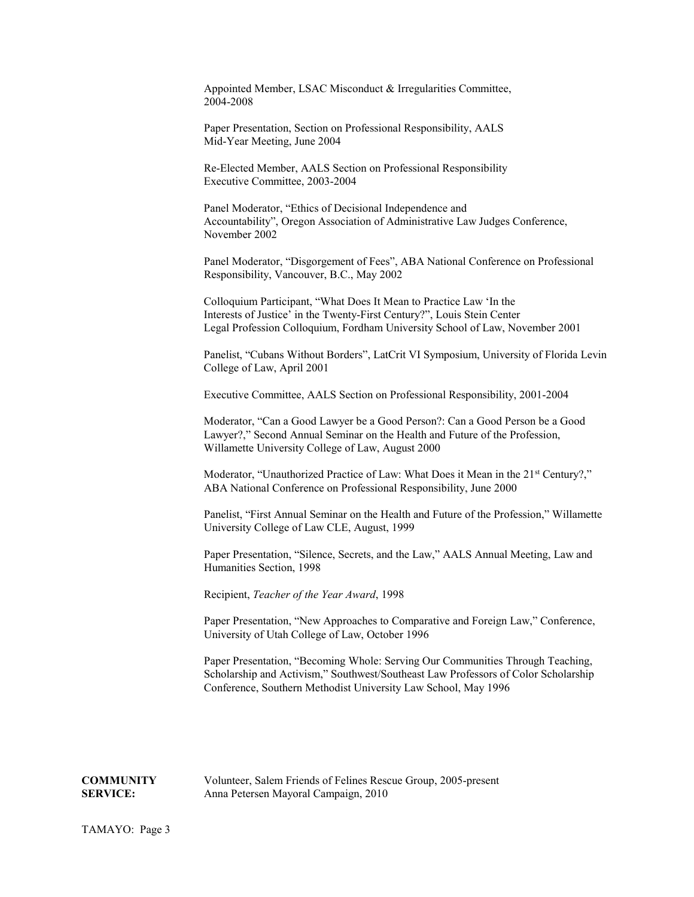Appointed Member, LSAC Misconduct & Irregularities Committee, 2004-2008

Paper Presentation, Section on Professional Responsibility, AALS Mid-Year Meeting, June 2004

Re-Elected Member, AALS Section on Professional Responsibility Executive Committee, 2003-2004

Panel Moderator, "Ethics of Decisional Independence and Accountability", Oregon Association of Administrative Law Judges Conference, November 2002

Panel Moderator, "Disgorgement of Fees", ABA National Conference on Professional Responsibility, Vancouver, B.C., May 2002

Colloquium Participant, "What Does It Mean to Practice Law 'In the Interests of Justice' in the Twenty-First Century?", Louis Stein Center Legal Profession Colloquium, Fordham University School of Law, November 2001

Panelist, "Cubans Without Borders", LatCrit VI Symposium, University of Florida Levin College of Law, April 2001

Executive Committee, AALS Section on Professional Responsibility, 2001-2004

Moderator, "Can a Good Lawyer be a Good Person?: Can a Good Person be a Good Lawyer?," Second Annual Seminar on the Health and Future of the Profession, Willamette University College of Law, August 2000

Moderator, "Unauthorized Practice of Law: What Does it Mean in the 21<sup>st</sup> Century?," ABA National Conference on Professional Responsibility, June 2000

Panelist, "First Annual Seminar on the Health and Future of the Profession," Willamette University College of Law CLE, August, 1999

Paper Presentation, "Silence, Secrets, and the Law," AALS Annual Meeting, Law and Humanities Section, 1998

Recipient, *Teacher of the Year Award*, 1998

Paper Presentation, "New Approaches to Comparative and Foreign Law," Conference, University of Utah College of Law, October 1996

Paper Presentation, "Becoming Whole: Serving Our Communities Through Teaching, Scholarship and Activism," Southwest/Southeast Law Professors of Color Scholarship Conference, Southern Methodist University Law School, May 1996

**COMMUNITY** Volunteer, Salem Friends of Felines Rescue Group, 2005-present **SERVICE:** Anna Petersen Mayoral Campaign, 2010